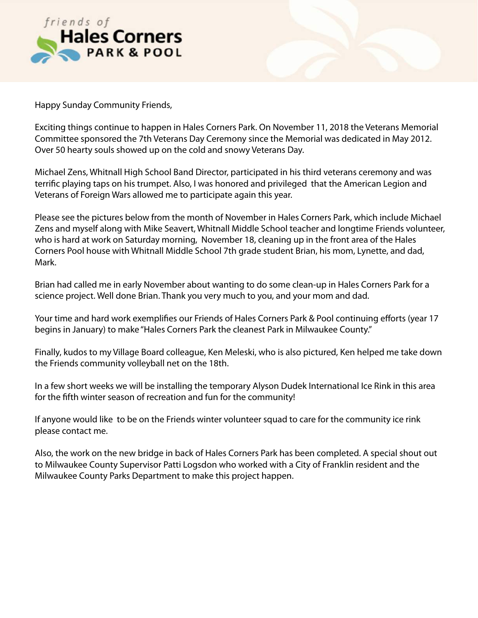

Happy Sunday Community Friends,

Exciting things continue to happen in Hales Corners Park. On November 11, 2018 the Veterans Memorial Committee sponsored the 7th Veterans Day Ceremony since the Memorial was dedicated in May 2012. Over 50 hearty souls showed up on the cold and snowy Veterans Day.

Michael Zens, Whitnall High School Band Director, participated in his third veterans ceremony and was terrifc playing taps on his trumpet. Also, I was honored and privileged that the American Legion and Veterans of Foreign Wars allowed me to participate again this year.

Please see the pictures below from the month of November in Hales Corners Park, which include Michael Zens and myself along with Mike Seavert, Whitnall Middle School teacher and longtime Friends volunteer, who is hard at work on Saturday morning, November 18, cleaning up in the front area of the Hales Corners Pool house with Whitnall Middle School 7th grade student Brian, his mom, Lynette, and dad, Mark.

Brian had called me in early November about wanting to do some clean-up in Hales Corners Park for a science project. Well done Brian. Thank you very much to you, and your mom and dad.

Your time and hard work exemplifes our Friends of Hales Corners Park & Pool continuing eforts (year 17 begins in January) to make "Hales Corners Park the cleanest Park in Milwaukee County."

Finally, kudos to my Village Board colleague, Ken Meleski, who is also pictured, Ken helped me take down the Friends community volleyball net on the 18th.

In a few short weeks we will be installing the temporary Alyson Dudek International Ice Rink in this area for the ffth winter season of recreation and fun for the community!

If anyone would like to be on the Friends winter volunteer squad to care for the community ice rink please contact me.

Also, the work on the new bridge in back of Hales Corners Park has been completed. A special shout out to Milwaukee County Supervisor Patti Logsdon who worked with a City of Franklin resident and the Milwaukee County Parks Department to make this project happen.